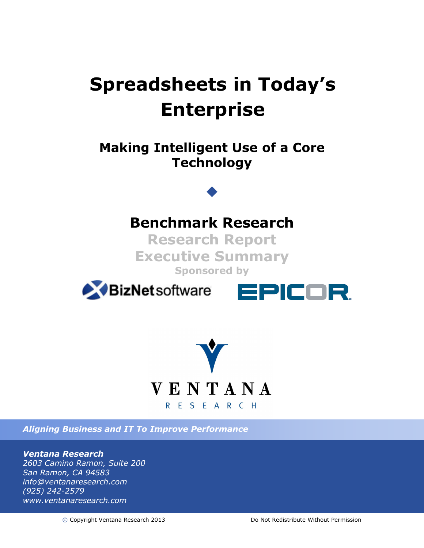# **Spreadsheets in Today's Enterprise**

# **Making Intelligent Use of a Core Technology**

# **Benchmark Research**

**Research Report Executive Summary Sponsored by**







*Aligning Business and IT To Improve Performance*

#### *Ventana Research*

*2603 Camino Ramon, Suite 200 San Ramon, CA 94583 info@ventanaresearch.com (925) 242-2579 www.ventanaresearch.com*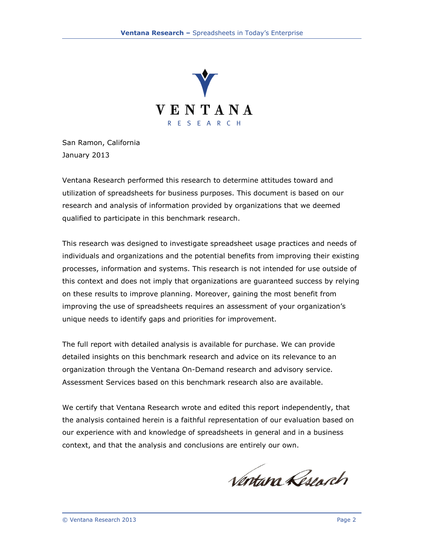

San Ramon, California January 2013

Ventana Research performed this research to determine attitudes toward and utilization of spreadsheets for business purposes. This document is based on our research and analysis of information provided by organizations that we deemed qualified to participate in this benchmark research.

This research was designed to investigate spreadsheet usage practices and needs of individuals and organizations and the potential benefits from improving their existing processes, information and systems. This research is not intended for use outside of this context and does not imply that organizations are guaranteed success by relying on these results to improve planning. Moreover, gaining the most benefit from improving the use of spreadsheets requires an assessment of your organization's unique needs to identify gaps and priorities for improvement.

The full report with detailed analysis is available for purchase. We can provide detailed insights on this benchmark research and advice on its relevance to an organization through the Ventana On-Demand research and advisory service. Assessment Services based on this benchmark research also are available.

We certify that Ventana Research wrote and edited this report independently, that the analysis contained herein is a faithful representation of our evaluation based on our experience with and knowledge of spreadsheets in general and in a business context, and that the analysis and conclusions are entirely our own.

Nortan Reservch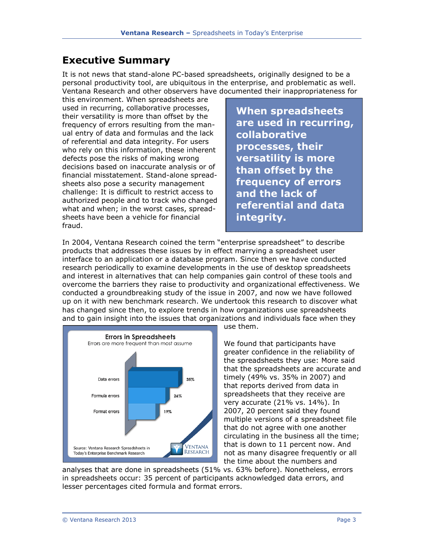### **Executive Summary**

It is not news that stand-alone PC-based spreadsheets, originally designed to be a personal productivity tool, are ubiquitous in the enterprise, and problematic as well. Ventana Research and other observers have documented their inappropriateness for

this environment. When spreadsheets are used in recurring, collaborative processes, their versatility is more than offset by the frequency of errors resulting from the manual entry of data and formulas and the lack of referential and data integrity. For users who rely on this information, these inherent defects pose the risks of making wrong decisions based on inaccurate analysis or of financial misstatement. Stand-alone spreadsheets also pose a security management challenge: It is difficult to restrict access to authorized people and to track who changed what and when; in the worst cases, spreadsheets have been a vehicle for financial fraud.

**When spreadsheets are used in recurring, collaborative processes, their versatility is more than offset by the frequency of errors and the lack of referential and data integrity.**

In 2004, Ventana Research coined the term "enterprise spreadsheet" to describe products that addresses these issues by in effect marrying a spreadsheet user interface to an application or a database program. Since then we have conducted research periodically to examine developments in the use of desktop spreadsheets and interest in alternatives that can help companies gain control of these tools and overcome the barriers they raise to productivity and organizational effectiveness. We conducted a groundbreaking study of the issue in 2007, and now we have followed up on it with new benchmark research. We undertook this research to discover what has changed since then, to explore trends in how organizations use spreadsheets and to gain insight into the issues that organizations and individuals face when they



use them.

We found that participants have greater confidence in the reliability of the spreadsheets they use: More said that the spreadsheets are accurate and timely (49% vs. 35% in 2007) and that reports derived from data in spreadsheets that they receive are very accurate (21% vs. 14%). In 2007, 20 percent said they found multiple versions of a spreadsheet file that do not agree with one another circulating in the business all the time; that is down to 11 percent now. And not as many disagree frequently or all the time about the numbers and

analyses that are done in spreadsheets (51% vs. 63% before). Nonetheless, errors in spreadsheets occur: 35 percent of participants acknowledged data errors, and lesser percentages cited formula and format errors.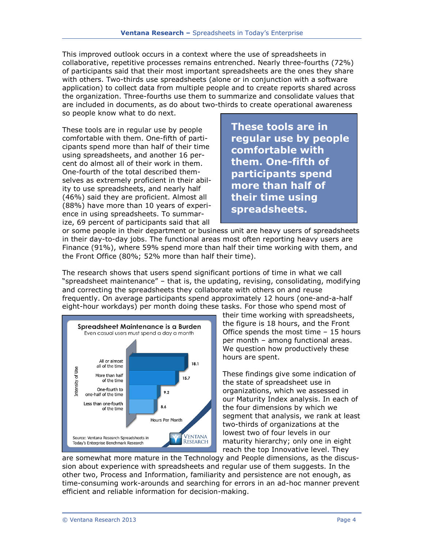This improved outlook occurs in a context where the use of spreadsheets in collaborative, repetitive processes remains entrenched. Nearly three-fourths (72%) of participants said that their most important spreadsheets are the ones they share with others. Two-thirds use spreadsheets (alone or in conjunction with a software application) to collect data from multiple people and to create reports shared across the organization. Three-fourths use them to summarize and consolidate values that are included in documents, as do about two-thirds to create operational awareness so people know what to do next.

These tools are in regular use by people comfortable with them. One-fifth of participants spend more than half of their time using spreadsheets, and another 16 percent do almost all of their work in them. One-fourth of the total described themselves as extremely proficient in their ability to use spreadsheets, and nearly half (46%) said they are proficient. Almost all (88%) have more than 10 years of experience in using spreadsheets. To summarize, 69 percent of participants said that all

**These tools are in regular use by people comfortable with them. One-fifth of participants spend more than half of their time using spreadsheets.**

or some people in their department or business unit are heavy users of spreadsheets in their day-to-day jobs. The functional areas most often reporting heavy users are Finance (91%), where 59% spend more than half their time working with them, and the Front Office (80%; 52% more than half their time).

The research shows that users spend significant portions of time in what we call "spreadsheet maintenance" – that is, the updating, revising, consolidating, modifying and correcting the spreadsheets they collaborate with others on and reuse frequently. On average participants spend approximately 12 hours (one-and-a-half eight-hour workdays) per month doing these tasks. For those who spend most of



their time working with spreadsheets, the figure is 18 hours, and the Front Office spends the most time – 15 hours per month – among functional areas. We question how productively these hours are spent.

These findings give some indication of the state of spreadsheet use in organizations, which we assessed in our Maturity Index analysis. In each of the four dimensions by which we segment that analysis, we rank at least two-thirds of organizations at the lowest two of four levels in our maturity hierarchy; only one in eight reach the top Innovative level. They

are somewhat more mature in the Technology and People dimensions, as the discussion about experience with spreadsheets and regular use of them suggests. In the other two, Process and Information, familiarity and persistence are not enough, as time-consuming work-arounds and searching for errors in an ad-hoc manner prevent efficient and reliable information for decision-making.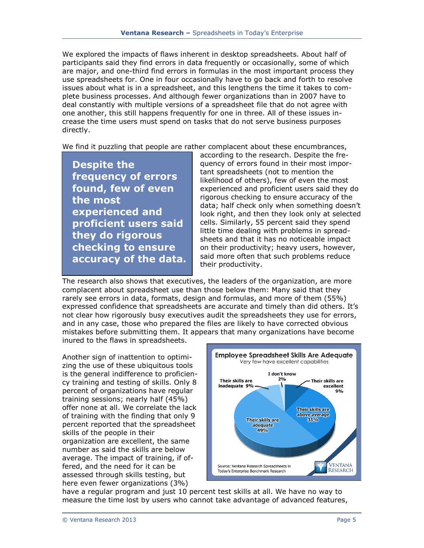We explored the impacts of flaws inherent in desktop spreadsheets. About half of participants said they find errors in data frequently or occasionally, some of which are major, and one-third find errors in formulas in the most important process they use spreadsheets for. One in four occasionally have to go back and forth to resolve issues about what is in a spreadsheet, and this lengthens the time it takes to complete business processes. And although fewer organizations than in 2007 have to deal constantly with multiple versions of a spreadsheet file that do not agree with one another, this still happens frequently for one in three. All of these issues increase the time users must spend on tasks that do not serve business purposes directly.

We find it puzzling that people are rather complacent about these encumbrances,

**Despite the frequency of errors found, few of even the most experienced and proficient users said they do rigorous checking to ensure accuracy of the data.** according to the research. Despite the frequency of errors found in their most important spreadsheets (not to mention the likelihood of others), few of even the most experienced and proficient users said they do rigorous checking to ensure accuracy of the data; half check only when something doesn't look right, and then they look only at selected cells. Similarly, 55 percent said they spend little time dealing with problems in spreadsheets and that it has no noticeable impact on their productivity; heavy users, however, said more often that such problems reduce their productivity.

The research also shows that executives, the leaders of the organization, are more complacent about spreadsheet use than those below them: Many said that they rarely see errors in data, formats, design and formulas, and more of them (55%) expressed confidence that spreadsheets are accurate and timely than did others. It's not clear how rigorously busy executives audit the spreadsheets they use for errors, and in any case, those who prepared the files are likely to have corrected obvious mistakes before submitting them. It appears that many organizations have become inured to the flaws in spreadsheets.

Another sign of inattention to optimizing the use of these ubiquitous tools is the general indifference to proficiency training and testing of skills. Only 8 percent of organizations have regular training sessions; nearly half (45%) offer none at all. We correlate the lack of training with the finding that only 9 percent reported that the spreadsheet skills of the people in their organization are excellent, the same number as said the skills are below average. The impact of training, if offered, and the need for it can be assessed through skills testing, but here even fewer organizations (3%)



have a regular program and just 10 percent test skills at all. We have no way to measure the time lost by users who cannot take advantage of advanced features,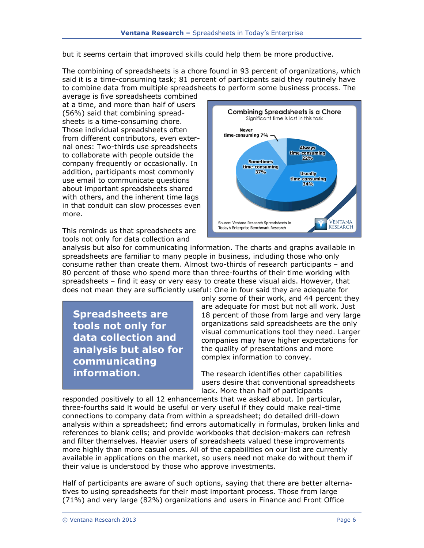but it seems certain that improved skills could help them be more productive.

The combining of spreadsheets is a chore found in 93 percent of organizations, which said it is a time-consuming task; 81 percent of participants said they routinely have to combine data from multiple spreadsheets to perform some business process. The

average is five spreadsheets combined at a time, and more than half of users (56%) said that combining spreadsheets is a time-consuming chore. Those individual spreadsheets often from different contributors, even external ones: Two-thirds use spreadsheets to collaborate with people outside the company frequently or occasionally. In addition, participants most commonly use email to communicate questions about important spreadsheets shared with others, and the inherent time lags in that conduit can slow processes even more.

This reminds us that spreadsheets are tools not only for data collection and



analysis but also for communicating information. The charts and graphs available in spreadsheets are familiar to many people in business, including those who only consume rather than create them. Almost two-thirds of research participants – and 80 percent of those who spend more than three-fourths of their time working with spreadsheets – find it easy or very easy to create these visual aids. However, that does not mean they are sufficiently useful: One in four said they are adequate for

**Spreadsheets are tools not only for data collection and analysis but also for communicating information.**

only some of their work, and 44 percent they are adequate for most but not all work. Just 18 percent of those from large and very large organizations said spreadsheets are the only visual communications tool they need. Larger companies may have higher expectations for the quality of presentations and more complex information to convey.

The research identifies other capabilities users desire that conventional spreadsheets lack. More than half of participants

responded positively to all 12 enhancements that we asked about. In particular, three-fourths said it would be useful or very useful if they could make real-time connections to company data from within a spreadsheet; do detailed drill-down analysis within a spreadsheet; find errors automatically in formulas, broken links and references to blank cells; and provide workbooks that decision-makers can refresh and filter themselves. Heavier users of spreadsheets valued these improvements more highly than more casual ones. All of the capabilities on our list are currently available in applications on the market, so users need not make do without them if their value is understood by those who approve investments.

Half of participants are aware of such options, saying that there are better alternatives to using spreadsheets for their most important process. Those from large (71%) and very large (82%) organizations and users in Finance and Front Office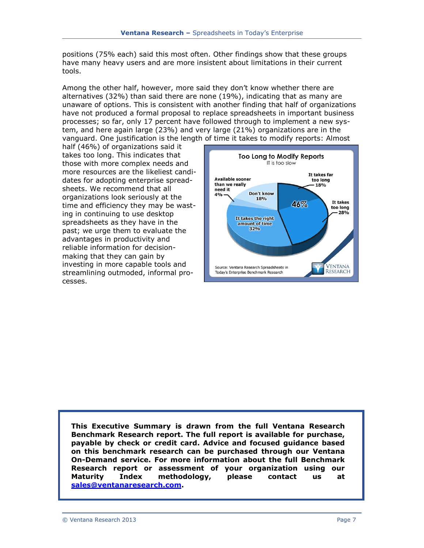positions (75% each) said this most often. Other findings show that these groups have many heavy users and are more insistent about limitations in their current tools.

Among the other half, however, more said they don't know whether there are alternatives (32%) than said there are none (19%), indicating that as many are unaware of options. This is consistent with another finding that half of organizations have not produced a formal proposal to replace spreadsheets in important business processes; so far, only 17 percent have followed through to implement a new system, and here again large (23%) and very large (21%) organizations are in the vanguard. One justification is the length of time it takes to modify reports: Almost

half (46%) of organizations said it takes too long. This indicates that those with more complex needs and more resources are the likeliest candidates for adopting enterprise spreadsheets. We recommend that all organizations look seriously at the time and efficiency they may be wasting in continuing to use desktop spreadsheets as they have in the past; we urge them to evaluate the advantages in productivity and reliable information for decisionmaking that they can gain by investing in more capable tools and streamlining outmoded, informal processes.



**This Executive Summary is drawn from the full Ventana Research Benchmark Research report. The full report is available for purchase, payable by check or credit card. Advice and focused guidance based on this benchmark research can be purchased through our Ventana On-Demand service. For more information about the full Benchmark Research report or assessment of your organization using our Maturity Index methodology, please contact us at [sales@ventanaresearch.com.](mailto:sales@ventanaresearch.com)**